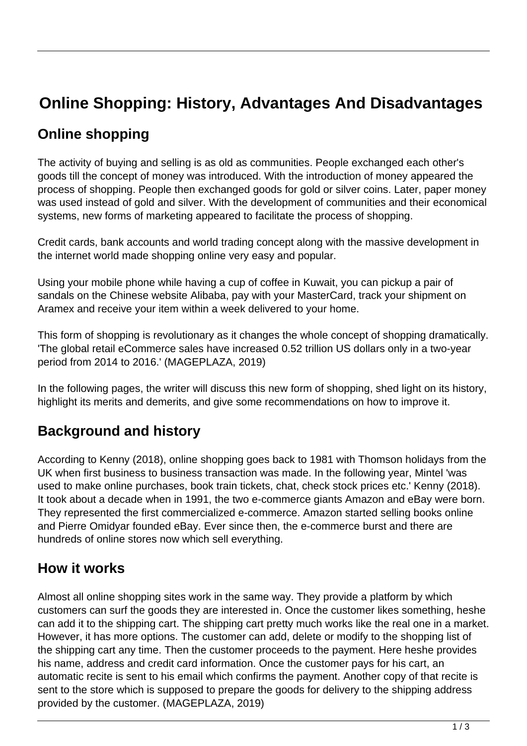# **Online Shopping: History, Advantages And Disadvantages**

## **Online shopping**

The activity of buying and selling is as old as communities. People exchanged each other's goods till the concept of money was introduced. With the introduction of money appeared the process of shopping. People then exchanged goods for gold or silver coins. Later, paper money was used instead of gold and silver. With the development of communities and their economical systems, new forms of marketing appeared to facilitate the process of shopping.

Credit cards, bank accounts and world trading concept along with the massive development in the internet world made shopping online very easy and popular.

Using your mobile phone while having a cup of coffee in Kuwait, you can pickup a pair of sandals on the Chinese website Alibaba, pay with your MasterCard, track your shipment on Aramex and receive your item within a week delivered to your home.

This form of shopping is revolutionary as it changes the whole concept of shopping dramatically. 'The global retail eCommerce sales have increased 0.52 trillion US dollars only in a two-year period from 2014 to 2016.' (MAGEPLAZA, 2019)

In the following pages, the writer will discuss this new form of shopping, shed light on its history, highlight its merits and demerits, and give some recommendations on how to improve it.

## **Background and history**

According to Kenny (2018), online shopping goes back to 1981 with Thomson holidays from the UK when first business to business transaction was made. In the following year, Mintel 'was used to make online purchases, book train tickets, chat, check stock prices etc.' Kenny (2018). It took about a decade when in 1991, the two e-commerce giants Amazon and eBay were born. They represented the first commercialized e-commerce. Amazon started selling books online and Pierre Omidyar founded eBay. Ever since then, the e-commerce burst and there are hundreds of online stores now which sell everything.

#### **How it works**

Almost all online shopping sites work in the same way. They provide a platform by which customers can surf the goods they are interested in. Once the customer likes something, heshe can add it to the shipping cart. The shipping cart pretty much works like the real one in a market. However, it has more options. The customer can add, delete or modify to the shopping list of the shipping cart any time. Then the customer proceeds to the payment. Here heshe provides his name, address and credit card information. Once the customer pays for his cart, an automatic recite is sent to his email which confirms the payment. Another copy of that recite is sent to the store which is supposed to prepare the goods for delivery to the shipping address provided by the customer. (MAGEPLAZA, 2019)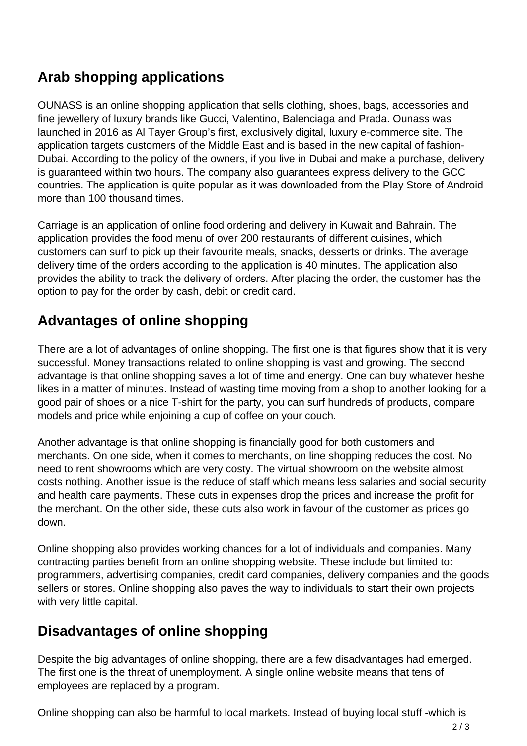## **Arab shopping applications**

OUNASS is an online shopping application that sells clothing, shoes, bags, accessories and fine jewellery of luxury brands like Gucci, Valentino, Balenciaga and Prada. Ounass was launched in 2016 as Al Tayer Group's first, exclusively digital, luxury e-commerce site. The application targets customers of the Middle East and is based in the new capital of fashion-Dubai. According to the policy of the owners, if you live in Dubai and make a purchase, delivery is guaranteed within two hours. The company also guarantees express delivery to the GCC countries. The application is quite popular as it was downloaded from the Play Store of Android more than 100 thousand times.

Carriage is an application of online food ordering and delivery in Kuwait and Bahrain. The application provides the food menu of over 200 restaurants of different cuisines, which customers can surf to pick up their favourite meals, snacks, desserts or drinks. The average delivery time of the orders according to the application is 40 minutes. The application also provides the ability to track the delivery of orders. After placing the order, the customer has the option to pay for the order by cash, debit or credit card.

#### **Advantages of online shopping**

There are a lot of advantages of online shopping. The first one is that figures show that it is very successful. Money transactions related to online shopping is vast and growing. The second advantage is that online shopping saves a lot of time and energy. One can buy whatever heshe likes in a matter of minutes. Instead of wasting time moving from a shop to another looking for a good pair of shoes or a nice T-shirt for the party, you can surf hundreds of products, compare models and price while enjoining a cup of coffee on your couch.

Another advantage is that online shopping is financially good for both customers and merchants. On one side, when it comes to merchants, on line shopping reduces the cost. No need to rent showrooms which are very costy. The virtual showroom on the website almost costs nothing. Another issue is the reduce of staff which means less salaries and social security and health care payments. These cuts in expenses drop the prices and increase the profit for the merchant. On the other side, these cuts also work in favour of the customer as prices go down.

Online shopping also provides working chances for a lot of individuals and companies. Many contracting parties benefit from an online shopping website. These include but limited to: programmers, advertising companies, credit card companies, delivery companies and the goods sellers or stores. Online shopping also paves the way to individuals to start their own projects with very little capital.

#### **Disadvantages of online shopping**

Despite the big advantages of online shopping, there are a few disadvantages had emerged. The first one is the threat of unemployment. A single online website means that tens of employees are replaced by a program.

Online shopping can also be harmful to local markets. Instead of buying local stuff -which is